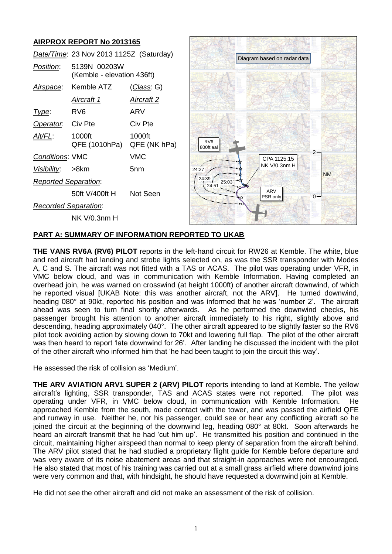# **AIRPROX REPORT No 2013165**

|                             | Date/Time: 23 Nov 2013 1125Z (Saturday)    |                    |  |  |
|-----------------------------|--------------------------------------------|--------------------|--|--|
| <i>Position</i> :           | 5139N 00203W<br>(Kemble - elevation 436ft) |                    |  |  |
| Airspace:                   | Kemble ATZ                                 | <u>(Class</u> : G) |  |  |
|                             | <u>Aircraft 1</u>                          | Aircraft 2         |  |  |
| Type:                       | RV6                                        | ARV                |  |  |
| Operator. Civ Pte           |                                            | Civ Pte            |  |  |
| AIt/FL:                     | 1000ft<br>QFE (1010hPa) QFE (NK hPa)       | 1000ft             |  |  |
| <b>Conditions: VMC</b>      |                                            | VMC                |  |  |
| Visibility: >8km            |                                            | 5nm                |  |  |
| <b>Reported Separation:</b> |                                            |                    |  |  |
|                             | 50ft V/400ft H                             | Not Seen           |  |  |
| <b>Recorded Separation:</b> |                                            |                    |  |  |
|                             | NK V/0.3nm H                               |                    |  |  |



# **PART A: SUMMARY OF INFORMATION REPORTED TO UKAB**

**THE VANS RV6A (RV6) PILOT** reports in the left-hand circuit for RW26 at Kemble. The white, blue and red aircraft had landing and strobe lights selected on, as was the SSR transponder with Modes A, C and S. The aircraft was not fitted with a TAS or ACAS. The pilot was operating under VFR, in VMC below cloud, and was in communication with Kemble Information. Having completed an overhead join, he was warned on crosswind (at height 1000ft) of another aircraft downwind, of which he reported visual [UKAB Note: this was another aircraft, not the ARV]. He turned downwind, heading 080° at 90kt, reported his position and was informed that he was 'number 2'. The aircraft ahead was seen to turn final shortly afterwards. As he performed the downwind checks, his passenger brought his attention to another aircraft immediately to his right, slightly above and descending, heading approximately 040°. The other aircraft appeared to be slightly faster so the RV6 pilot took avoiding action by slowing down to 70kt and lowering full flap. The pilot of the other aircraft was then heard to report 'late downwind for 26'. After landing he discussed the incident with the pilot of the other aircraft who informed him that 'he had been taught to join the circuit this way'.

He assessed the risk of collision as 'Medium'.

**THE ARV AVIATION ARV1 SUPER 2 (ARV) PILOT** reports intending to land at Kemble. The yellow aircraft's lighting, SSR transponder, TAS and ACAS states were not reported. The pilot was operating under VFR, in VMC below cloud, in communication with Kemble Information. He approached Kemble from the south, made contact with the tower, and was passed the airfield QFE and runway in use. Neither he, nor his passenger, could see or hear any conflicting aircraft so he joined the circuit at the beginning of the downwind leg, heading 080° at 80kt. Soon afterwards he heard an aircraft transmit that he had 'cut him up'. He transmitted his position and continued in the circuit, maintaining higher airspeed than normal to keep plenty of separation from the aircraft behind. The ARV pilot stated that he had studied a proprietary flight guide for Kemble before departure and was very aware of its noise abatement areas and that straight-in approaches were not encouraged. He also stated that most of his training was carried out at a small grass airfield where downwind joins were very common and that, with hindsight, he should have requested a downwind join at Kemble.

He did not see the other aircraft and did not make an assessment of the risk of collision.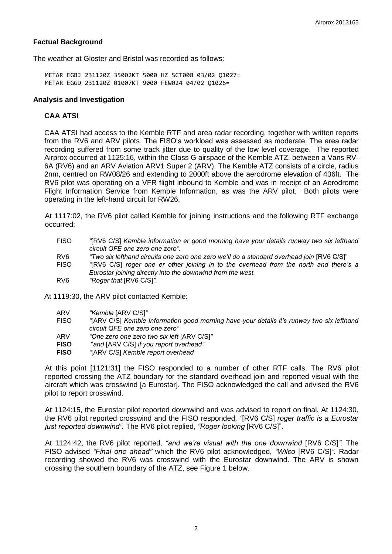## **Factual Background**

The weather at Gloster and Bristol was recorded as follows:

METAR EGBJ 231120Z 35002KT 5000 HZ SCT008 03/02 Q1027= METAR EGGD 231120Z 01007KT 9000 FEW024 04/02 Q1026=

### **Analysis and Investigation**

### **CAA ATSI**

CAA ATSI had access to the Kemble RTF and area radar recording, together with written reports from the RV6 and ARV pilots. The FISO's workload was assessed as moderate. The area radar recording suffered from some track jitter due to quality of the low level coverage. The reported Airprox occurred at 1125:16, within the Class G airspace of the Kemble ATZ, between a Vans RV-6A (RV6) and an ARV Aviation ARV1 Super 2 (ARV). The Kemble ATZ consists of a circle, radius 2nm, centred on RW08/26 and extending to 2000ft above the aerodrome elevation of 436ft. The RV6 pilot was operating on a VFR flight inbound to Kemble and was in receipt of an Aerodrome Flight Information Service from Kemble Information, as was the ARV pilot. Both pilots were operating in the left-hand circuit for RW26.

At 1117:02, the RV6 pilot called Kemble for joining instructions and the following RTF exchange occurred:

FISO *"*[RV6 C/S] *Kemble information er good morning have your details runway two six lefthand circuit QFE one zero one zero".* RV6 *"Two six lefthand circuits one zero one zero we'll do a standard overhead join*  $IRV6 C/SI$ " FISO *"*[RV6 C/S] *roger one er other joining in to the overhead from the north and there's a Eurostar joining directly into the downwind from the west.* RV6 *"Roger that* [RV6 C/S]*".*

At 1119:30, the ARV pilot contacted Kemble:

| ARV | "Kemble [ARV C/S]" |  |  |
|-----|--------------------|--|--|
|-----|--------------------|--|--|

- FISO *"*[ARV C/S] *Kemble Information good morning have your details it's runway two six lefthand circuit QFE one zero one zero"*
- ARV *"One zero one zero two six left* [ARV C/S]*"*
- **FISO** "*and* [ARV C/S] *if you report overhead"*
- **FISO** *"*[ARV C/S] *Kemble report overhead*

At this point [1121:31] the FISO responded to a number of other RTF calls. The RV6 pilot reported crossing the ATZ boundary for the standard overhead join and reported visual with the aircraft which was crosswind [a Eurostar]. The FISO acknowledged the call and advised the RV6 pilot to report crosswind.

At 1124:15, the Eurostar pilot reported downwind and was advised to report on final. At 1124:30, the RV6 pilot reported crosswind and the FISO responded, *"*[RV6 C/S] *roger traffic is a Eurostar just reported downwind".* The RV6 pilot replied, *"Roger looking* [RV6 C/S]".

At 1124:42, the RV6 pilot reported, *"and we're visual with the one downwind* [RV6 C/S]*"*. The FISO advised *"Final one ahead"* which the RV6 pilot acknowledged, *"Wilco* [RV6 C/S]*".* Radar recording showed the RV6 was crosswind with the Eurostar downwind. The ARV is shown crossing the southern boundary of the ATZ, see Figure 1 below.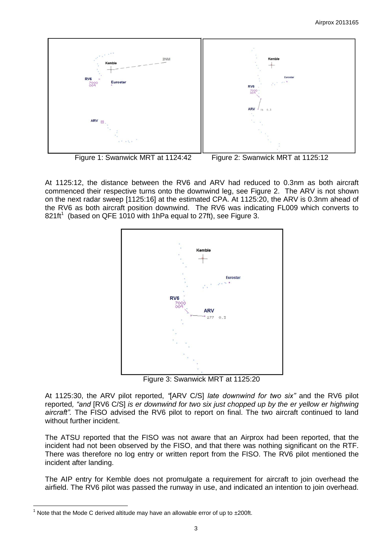

Figure 1: Swanwick MRT at 1124:42 Figure 2: Swanwick MRT at 1125:12

At 1125:12, the distance between the RV6 and ARV had reduced to 0.3nm as both aircraft commenced their respective turns onto the downwind leg, see Figure 2. The ARV is not shown on the next radar sweep [1125:16] at the estimated CPA. At 1125:20, the ARV is 0.3nm ahead of the RV6 as both aircraft position downwind. The RV6 was indicating FL009 which converts to 821ft<sup>1</sup> (based on QFE 1010 with 1hPa equal to 27ft), see Figure 3.



Figure 3: Swanwick MRT at 1125:20

At 1125:30, the ARV pilot reported, *"*[ARV C/S] *late downwind for two six"* and the RV6 pilot reported*, "and* [RV6 C/S] *is er downwind for two six just chopped up by the er yellow er highwing aircraft".* The FISO advised the RV6 pilot to report on final. The two aircraft continued to land without further incident.

The ATSU reported that the FISO was not aware that an Airprox had been reported, that the incident had not been observed by the FISO, and that there was nothing significant on the RTF. There was therefore no log entry or written report from the FISO. The RV6 pilot mentioned the incident after landing.

The AIP entry for Kemble does not promulgate a requirement for aircraft to join overhead the airfield. The RV6 pilot was passed the runway in use, and indicated an intention to join overhead.

 $\overline{a}$  $1$  Note that the Mode C derived altitude may have an allowable error of up to  $\pm 200$ ft.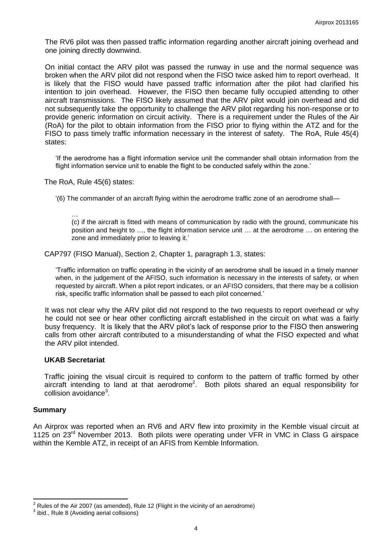The RV6 pilot was then passed traffic information regarding another aircraft joining overhead and one joining directly downwind.

On initial contact the ARV pilot was passed the runway in use and the normal sequence was broken when the ARV pilot did not respond when the FISO twice asked him to report overhead. It is likely that the FISO would have passed traffic information after the pilot had clarified his intention to join overhead. However, the FISO then became fully occupied attending to other aircraft transmissions. The FISO likely assumed that the ARV pilot would join overhead and did not subsequently take the opportunity to challenge the ARV pilot regarding his non-response or to provide generic information on circuit activity. There is a requirement under the Rules of the Air (RoA) for the pilot to obtain information from the FISO prior to flying within the ATZ and for the FISO to pass timely traffic information necessary in the interest of safety. The RoA, Rule 45(4) states:

'If the aerodrome has a flight information service unit the commander shall obtain information from the flight information service unit to enable the flight to be conducted safely within the zone.'

The RoA, Rule 45(6) states:

'(6) The commander of an aircraft flying within the aerodrome traffic zone of an aerodrome shall—

…

(c) if the aircraft is fitted with means of communication by radio with the ground, communicate his position and height to …, the flight information service unit … at the aerodrome … on entering the zone and immediately prior to leaving it.'

CAP797 (FISO Manual), Section 2, Chapter 1, paragraph 1.3, states:

'Traffic information on traffic operating in the vicinity of an aerodrome shall be issued in a timely manner when, in the judgement of the AFISO, such information is necessary in the interests of safety, or when requested by aircraft. When a pilot report indicates, or an AFISO considers, that there may be a collision risk, specific traffic information shall be passed to each pilot concerned.'

It was not clear why the ARV pilot did not respond to the two requests to report overhead or why he could not see or hear other conflicting aircraft established in the circuit on what was a fairly busy frequency. It is likely that the ARV pilot's lack of response prior to the FISO then answering calls from other aircraft contributed to a misunderstanding of what the FISO expected and what the ARV pilot intended.

### **UKAB Secretariat**

Traffic joining the visual circuit is required to conform to the pattern of traffic formed by other aircraft intending to land at that aerodrome<sup>2</sup>. Both pilots shared an equal responsibility for collision avoidance<sup>3</sup>.

### **Summary**

An Airprox was reported when an RV6 and ARV flew into proximity in the Kemble visual circuit at 1125 on 23<sup>rd</sup> November 2013. Both pilots were operating under VFR in VMC in Class G airspace within the Kemble ATZ, in receipt of an AFIS from Kemble Information.

 $\overline{\phantom{a}}$  $2$  Rules of the Air 2007 (as amended), Rule 12 (Flight in the vicinity of an aerodrome)

 $3$  ibid., Rule 8 (Avoiding aerial collisions)